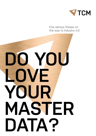

Five serious theses on the way to Industry 4.0

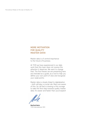#### **MORE MOTIVATION FOR QUALITY MASTER DATA!**

Master data is of central importance to the future of business.

At TCM we have experienced in our daily work that this topic does not receive the attention it deserves. We want to change that. The five theses we are presenting here are intended as a guide, as a tool to help you define your own point of view and recognize your weak points.

Master data is closely linked to digitalization – both will play a crucial role. Many are aware of this. So, all that is missing is the courage to take the first step towards quality master data. It's easier and faster than you'd expect!

**Manfred Kainz** TCM International, CEO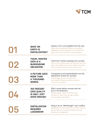

| U1        | <b>WHAT ON</b><br><b>EARTH IS</b><br><b>DIGITALIZATION?</b>                         | Industry 4.0 is not available from the rack.<br>Where are we positioned? Where are we going? -<br>Digitalization requires reflection on your ideas and<br>goals, and last but not least on the processes.       |
|-----------|-------------------------------------------------------------------------------------|-----------------------------------------------------------------------------------------------------------------------------------------------------------------------------------------------------------------|
| 02        | <b>TODAY, MASTER</b><br><b>DATA IS A</b><br><b>BURDENSOME</b><br><b>OBLIGATION.</b> | Tomorrow it will be necessary for survival.<br>Show me your master data, and I'll tell you where you<br>stand. The analysis of the current state is fast. But<br>then you have to: Get out of the comfort zone! |
| <b>U3</b> | A PICTURE SAYS<br><b>MORE THAN</b><br>A THOUSAND<br>WORDS.                          | Transparency and standardization are the<br>adjustment screws for success.<br>See the bigger picture. Only clear and<br>meaningful key figures provide an overview<br>of your own processes.                    |
| U4        | 100 PERCENT<br><b>DATA QUALITY</b><br><b>IS ONLY JUST</b><br><b>GOOD ENOUGH.</b>    | Effort comes before success and not<br>just in the dictionary.<br>Top-data quality means continuous work.<br>No reason to panic: Once you get involved,<br>it's much easier than before.                        |
| 15        | <b>DIGITALIZATION</b><br><b>REQUIRES</b><br><b>LEADERSHIP.</b>                      | Doing it as an "afterthought" won't suffice.<br>Digitalization is not a switch that you flip. It requires<br>the commitment of everyone involved. And clear<br>decisions by management.                         |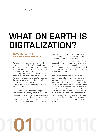# **WHAT ON EARTH IS DIGITALIZATION?**

#### **INDUSTRY 4.0 ISN'T AVAILABLE FROM THE RACK.**

Digitalization – a big topic with an equal lack of focus in its definition. What exactly are we talking about when we use that irritating word digitalization? For some it is the same old same old in a new box. ("We've always been doing it anyway!"), For others, it is the long-awaited starting signal into a new era ("It requires disruptive changes!"). In between, there are more or less ambitious efforts to use the topic for their own needs. So, is digitalization ultimately whatever companies want it to mean?

This much is certain: manufacturing companies cannot avoid placing digitalization in an expanded context. The system of production - machines, control and auxiliary systems of various types, as well as the human factor - have not changed structurally, but neither

the operation of the plants nor the necessary services are possible without access to the online services of the respective manufacturers. An improved infrastructure, especially more bandwidth for Internet connections, has enabled new applications and faster response times. The formerly isolated production area has long since been networked with the world.

The consequences are well known: new potential in production, new markets and increased competitiveness. Anyone who ignores this development, can be out of the game quickly. Wonderful new digital freedom? Not quite. Because more freedom means less and less security. And that can hurt a lot quickly: Data loss, uncontrolled data flow to the outside, virtual attacks ... the range of risks is large. Awareness among employees, on the other hand, and investing in security helps. Then, digitalization can do what we expect it to do.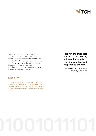

Digitalization – thought of in the widest possible context – however, starts much earlier. The question is not how to master Industry 4.0 (Does anyone really know how Industry 2.0 works?). The question is how to master your own processes. And this mastery begins fundamentally with the master data of a company.

#### **Example 01**

If you ask the participants of symposia, if master data in the company are important, then almost all of them answer yes. If you ask whether the quality of this data is good in their own company, then almost all of them answer no.

**"It's not the strongest species that survives, not even the smartest, but the one that best responds to changes."**

Prof. **Wilfried Sihn,** CEO Fraunhofer Austria Research GmbH, quoting Charles Darwin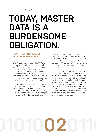# **TODAY, MASTER DATA IS A BURDENSOME OBLIGATION.**

### **TOMORROW, THEY WILL BE NECESSARY FOR SURVIVAL.**

"What's your idea of master data?" - What appears at first glance to be the crucial question of digitalization is, on closer inspection, only the follow-up question of a far more extensive occupation with the production engineering processes. Wherever industrial production, automation, in short modern production is concerned, the question must be: "Are you in control of your processes?"

In most cases, sufficient technology is available to improve manufacturing processes. So, the technology is there. What is important in the first place, however, is the quality of the processes. As a result, every company has to confront a whole series of uncom-

fortable questions - ideally in time and for themselves, at least – before someone else asks them: "Are we aware of our processes in the mechanical manufacturing?" "Are they transparent?" "Do we control them in normal operation, and can we control them in exceptional cases?"

Digitalization also means taking a look at the data quality in the company - and with the most critical possible view. The motto is not: "Let's take a look sometime, then we'll see", it's "Get out of the comfort zone!" Because whoever talks about master data is speaking about quality. To the contrary, the picture that sometimes presents itself in the company is questionable: the most varied article numbers and specifications from various systems torpedo any meaningful use. A reliable process cannot be derived from this.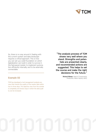

So, there is no way around it. Dealing with the current system and data landscape requires a critical approach. This is how you can set up a solid foundation on which digitalization can build in order to survive in the fast-paced market, to implement automation efficiently internally, and to be externally connectable.

#### **Example 02**

TCM has developed a tool management analysis process that checks the quality of the master data within two to three days. The objective view from the outside is completely and shows ways in which the data quality can be increased.

**"The analysis process of TCM shows very well where you stand. Strengths and potentials are presented clearly, and recommended actions are suggested. This helps to set the course and make the right decisions for the future."**

> **Richard Wieser,** Head of Components Production, Motor Factory HATZ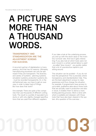# **A PICTURE SAYS MORE THAN A THOUSAND WORDS.**

### **TRANSPARENCY AND STANDARDIZATION ARE THE ADJUSTMENT SCREWS FOR SUCCESS.**

A recurrent partner of digitalization is transparency. And that has its reasons. Ultimately, manufacturing processes can only be optimized if they are transparent. The diversity and variety of systems - planning systems, simulation systems, production systems etc. - must be recorded transparently. Or, in the old-fashioned way, you have to get an overview in order to keep track of things. But how does that work?

One example: There are quite a few companies that use thousands of different cutting tools. The result is a jumble of equivalent products or with only slightly changed specifications that are used from different suppliers.

If you take a look at the underlying process, you end up with the stock value or the inventory turnover rate. And now it gets interesting: If you also look at which tools were not even moved in a certain period (about a year) - so-called "slow movers" - you quickly realize that a lot of unproductive capital is just sitting around.

This situation can be avoided – if you do not lose the perspective! This is precisely where transparency and standardization help. They are the best adjustment screws to raise awareness and thus change the situation. For example, if programmers have access to up-to-date, qualitative data about those tools that are actually used in production and also in stock, it enables them to derive a more binding planning process. Work is done with what is available and released, with those tools that have also been cleared in the system. All a question of the overview …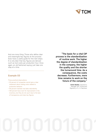

And one more thing: Those who define clear and meaningful key figures at the process level, have a useful guide for the next steps. It is only later that key figures are derived such as tool costs per production hour. Once again, an old fashioned saying: just take one step at a time.

#### **Example 03**

Three practical observations:

- 50 percent of companies cannot give a clear statement about tooling costs related to production behavior.
- 90 percent maintain tool data redundantly.
- 100 percent have room for improvement in the inventory, but they do not use it due to the lack of transparency and clear key figures.

**"The basis for a vital CIP process is the standardization of routine work. The higher the degree of standardization in the company, the higher the quality and the shorter the turnaround time. As a consequence, the costs decrease. Furthermore, more time remains to work on the future of the company."**

> **Armin Decker,** Operations Manager and Authorized Signatory of J. D. Neuhaus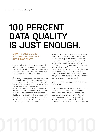# **100 PERCENT DATA QUALITY IS JUST ENOUGH.**

### **EFFORT COMES BEFORE SUCCESS. AND NOT ONLY IN THE DICTIONARY.**

Let's just stay with the topic of success: It will come, but not overnight, and not automatically. Qualitative master data, end-to-end systems and reliable processes require real work - an effort, however, that pays off!

Once this new data quality has been achieved, an essential basis for optimized processes has been created. This level must be absolutely maintained, because it is not about a one-time success, or a a "one-time cleaning up" of the data disorder. The hard-won solutions in the production environment must also be able to permanently meet the quality demands that have been achieved! No one would trust an assistance or navigation system that only worked 90% of the time. Why should this be different in production processes?

To return to the example of cutting tools, the aim is to ensure that all the data required for the next step in the process is available in the required quality and to the required extent when creating a cutting tool. Let's call the scope the "golden record" of the tool. This "Golden record" ensures that all specialist departments are informed and involved right from the birth of the data creation. Cross-system analyses are possible at any time, since uniform and consistent part numbers and specifications are used.

This closes the large gap between the isolated solutions.

At the same time, it is ensured that it is also possible to use economically sound basic data (disposition data, consumption data, cost statements) to make production-related statements (where is which tool used, which cutting values are used on which machines?). Each system usually has its own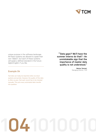

unique purpose in the software landscape. All these systems are allowed to speak their own "dialect", but each of these systems will speak a defined standard in the future digital English, if you like.

**Example 04**

Tool data can today be imported online via cloud systems and portals. However, the quality of this data is often so poor, that each record has to be checked manually. This puts every automated data transfer into question.

**"'Data gaps? We'll have the summer interns do that!'– An unmistakable sign that the importance of master data quality is not understood."**

> **Markus Temmel,** Managing Director, TCM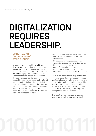# **DIGITALIZATION REQUIRES LEADERSHIP.**

### **DOING IT AS AN "AFTERTHOUGHT" WON'T SUFFICE.**

Although it has been said several times, digitalization is work – but work that is worthwhile. After all, anyone who has been successful has dealt intensively with their data, the underlying system landscape and the processes that have been used. This has a decisive consequence: digitalization requires leadership! It cannot be prescribed, switched on or delegated. Rather, it is an attitude that must be anchored throughout the corporate DNA. Only then will the challenge be understood, only then will the right decisions be made and then these decisions will become visible as successes, namely:

- No redundancy, which the customer does not pay for and which paralyzes the organization
- No gaps and missing data quality that undermine transparency and significance
- No restriction to interpret the data pool and to find new business models
- No problem to make new technologies like AI even more effective and much more.

What is required is the courage to take the first step. Once this is taken, each successive step is faster to implement - a dynamic is set in motion and success becomes visible, which in turn increases the approval and acceptance within the company. And slowly, but steadily, the digitally driven corporate change reveals its full potential.

The result is what you never expected: You will come to love your master data!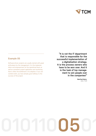

### **Example 05**

Software-driven projects are usually started with great enthusiasm by the management. It is the implementation and empowerment at the operational level, as well as consistent project application and monitoring that is often the bottleneck in its adoption. If you can combine both, you have already gone halfway to the success of the project.

**"It is not the IT department that is responsible for the successful implementation of a digitalization strategy. It is the process owners who have to be won over. And it is the task of top management to win people over in the companies!"**

> **Manfred Kainz,**  CEO, TCM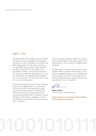#### **ABOUT TCM**

As experienced tool managers, we at TCM are also users of our own product and software solutions. In order to develop our products, we think backwards from the chip. In doing so, we repeatedly ask ourselves what needs to be done to produce the chip easier, more accurately or faster - because that ensures the decisive competitive advantage for us and our customers. Just thinking about digitalization is not enough. In the end, you have to use it for your own production.

We are constantly learning from our customer projects and together with our customers. Every day we are confronted with a wide variety of demands. Various materials that need to be machined, diverse production structures and batch sizes, as well as various software environments, challenge us. All of our findings flow into the further development of our solutions.

This is precisely what has helped us to gain a central insight: high master data quality is the prerequisite for the success of a digitalization strategy!

We are happy to pass on this experience and, together with you, take the first step to evaluate the digital potential in your company. We will accompany you from the concept to its practical implementation, so that you are one step ahead of your competitors.

**Markus Temmel,** TCM International, Managing Director

**https://www.tcm-international.at/produkte/ tool-management-analyse/**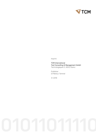

Imprint:

TCM International Tool Consulting & Management GmbH Technologiepark 3, 8510 Stainz

Publisher: DI Markus Temmel

© 2019